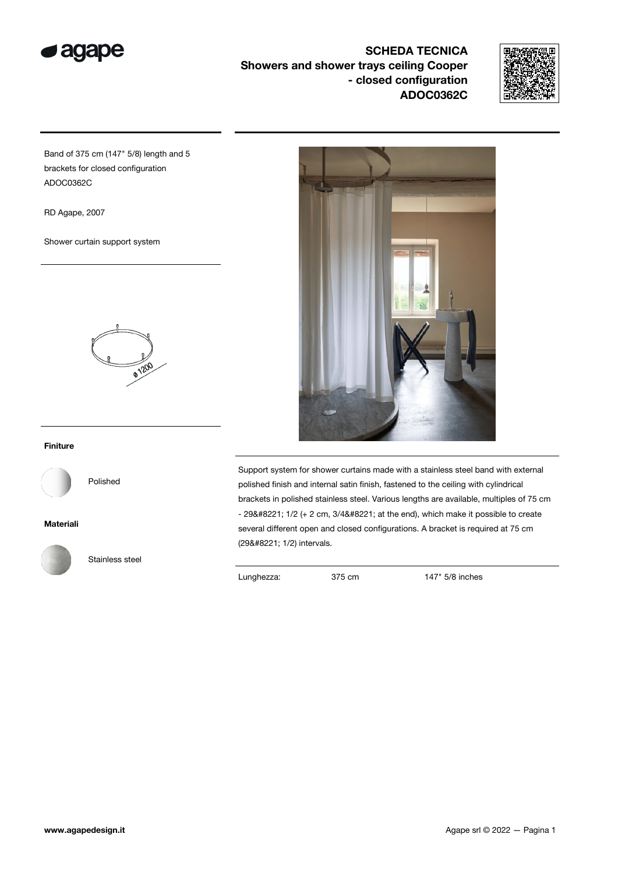

SCHEDA TECNICA Showers and shower trays ceiling Cooper - closed configuration ADOC0362C



Band of 375 cm (147" 5/8) length and 5 brackets for closed configuration ADOC0362C

RD Agape, 2007

Shower curtain support system



## Finiture



Polished

## Materiali



Stainless steel



Support system for shower curtains made with a stainless steel band with external polished finish and internal satin finish, fastened to the ceiling with cylindrical brackets in polished stainless steel. Various lengths are available, multiples of 75 cm  $-$  29" 1/2 (+ 2 cm, 3/4" at the end), which make it possible to create several different open and closed configurations. A bracket is required at 75 cm (29" 1/2) intervals.

Lunghezza: 375 cm 147" 5/8 inches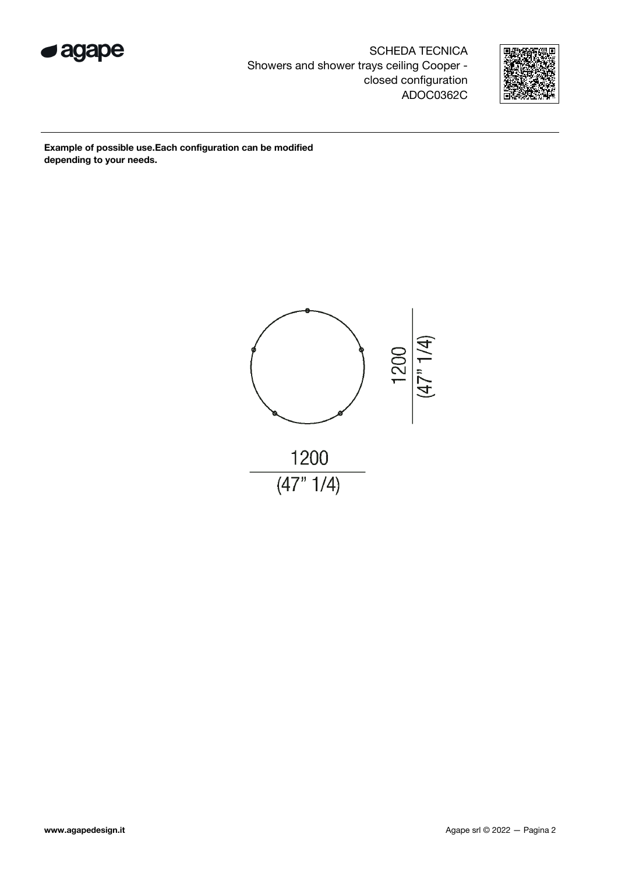

SCHEDA TECNICA Showers and shower trays ceiling Cooper closed configuration ADOC0362C



Example of possible use.Each configuration can be modified depending to your needs.

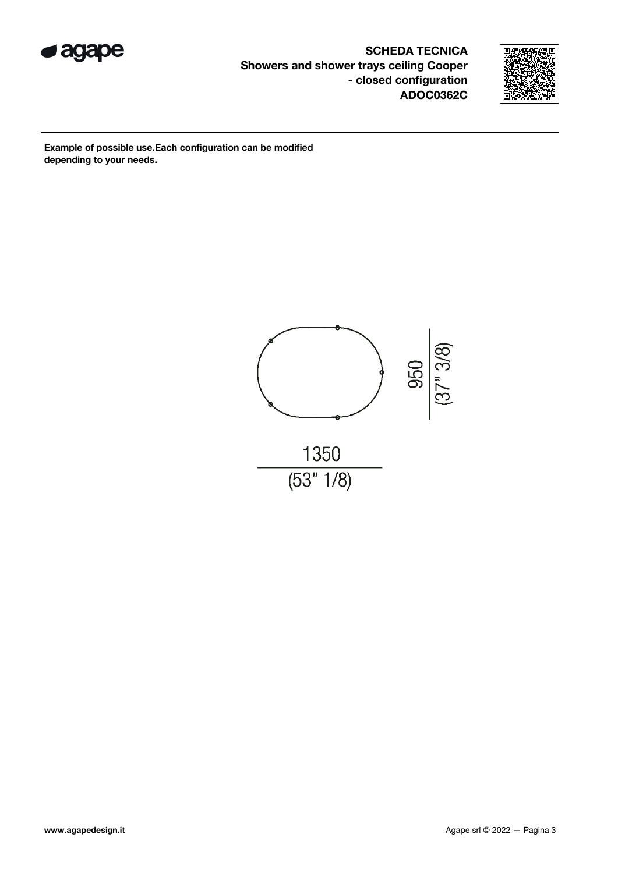

SCHEDA TECNICA Showers and shower trays ceiling Cooper - closed configuration ADOC0362C



Example of possible use.Each configuration can be modified depending to your needs.